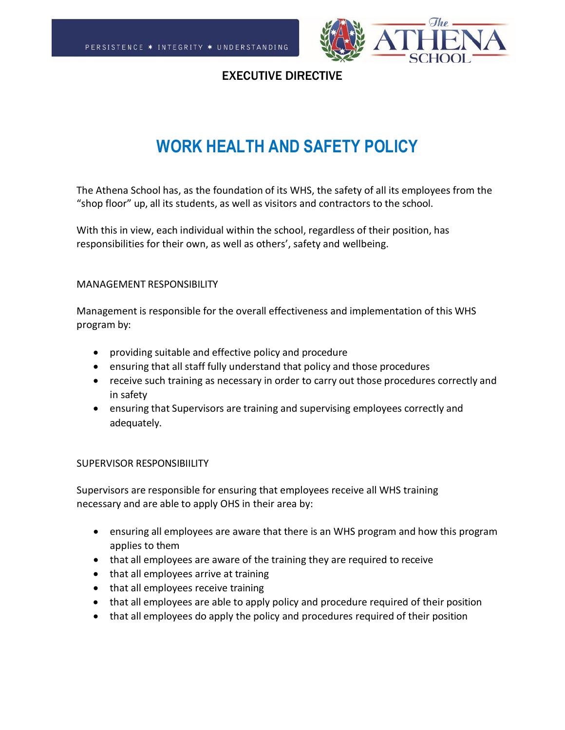

## EXECUTIVE DIRECTIVE

# **WORK HEALTH AND SAFETY POLICY**

The Athena School has, as the foundation of its WHS, the safety of all its employees from the "shop floor" up, all its students, as well as visitors and contractors to the school.

With this in view, each individual within the school, regardless of their position, has responsibilities for their own, as well as others', safety and wellbeing.

#### MANAGEMENT RESPONSIBILITY

Management is responsible for the overall effectiveness and implementation of this WHS program by:

- providing suitable and effective policy and procedure
- ensuring that all staff fully understand that policy and those procedures
- receive such training as necessary in order to carry out those procedures correctly and in safety
- ensuring that Supervisors are training and supervising employees correctly and adequately.

#### SUPERVISOR RESPONSIBIILITY

Supervisors are responsible for ensuring that employees receive all WHS training necessary and are able to apply OHS in their area by:

- ensuring all employees are aware that there is an WHS program and how this program applies to them
- that all employees are aware of the training they are required to receive
- that all employees arrive at training
- that all employees receive training
- that all employees are able to apply policy and procedure required of their position
- that all employees do apply the policy and procedures required of their position